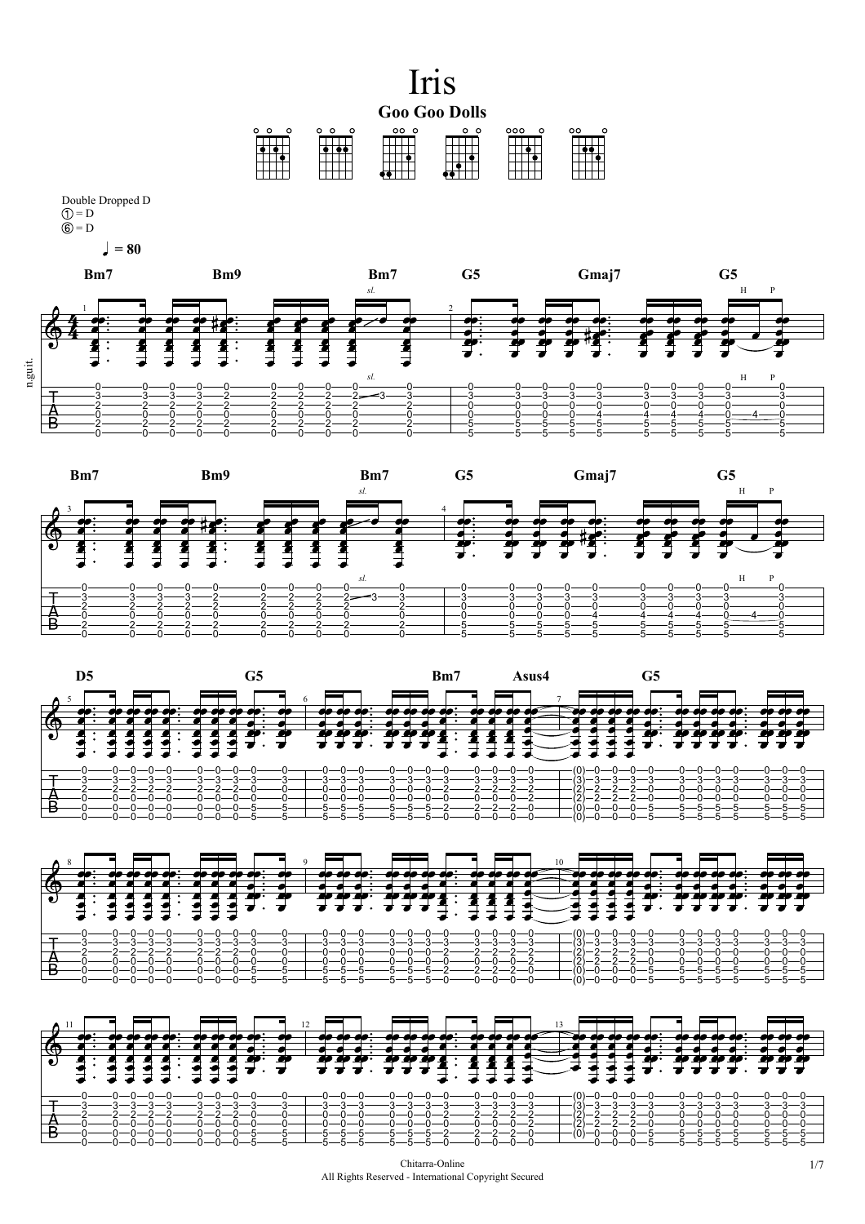









Chitarra-Online 1/7 All Rights Reserved - International Copyright Secured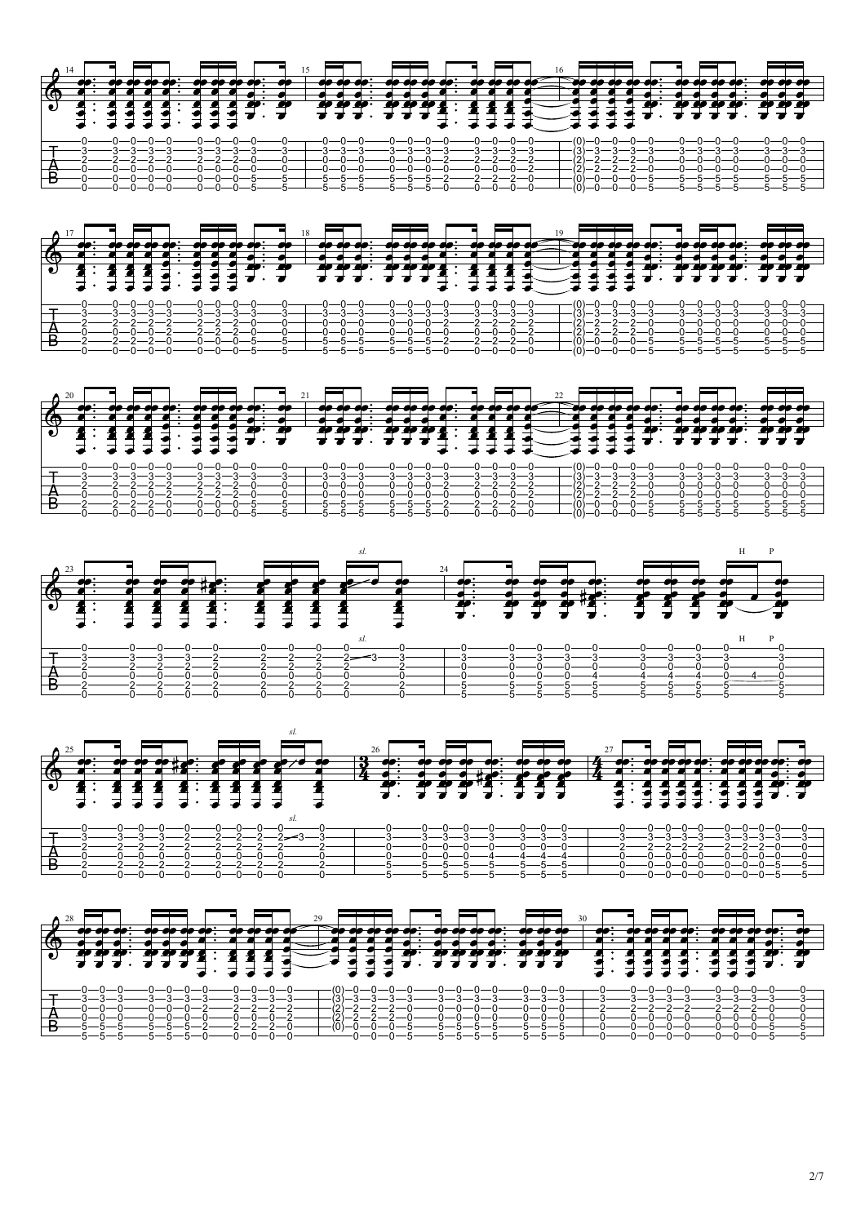| J. |  | <u>-oo: -oo oo oo oo: -oo oo oo oo: -oo </u> |  |  |  |  |  |  |  |  |  |  |  |  |  |  |
|----|--|----------------------------------------------|--|--|--|--|--|--|--|--|--|--|--|--|--|--|
|    |  |                                              |  |  |  |  |  |  |  |  |  |  |  |  |  |  |









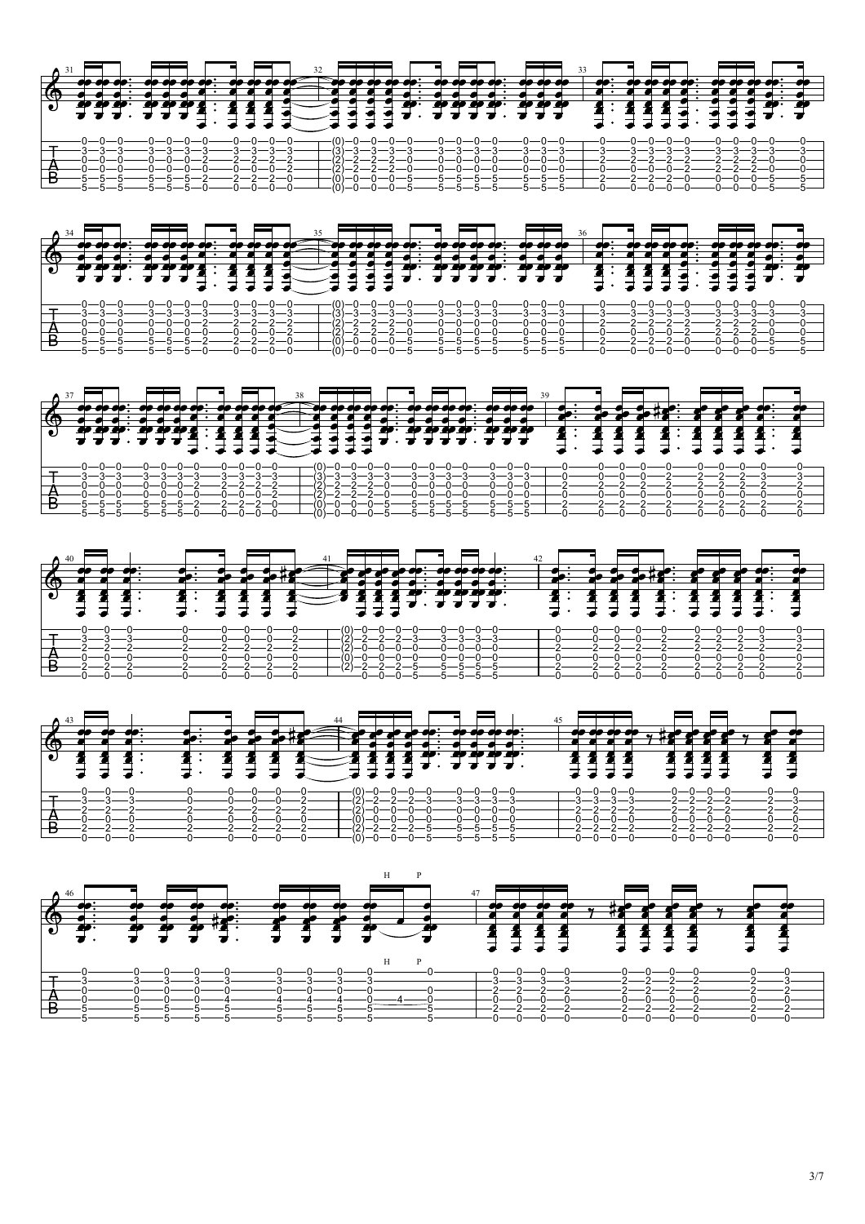|                                                                                                                                                                                                                                                                                                                                                                   |  |  |  |  |  |  |  |  |  |  |  |  |  |  |  |  |  |  |  |  | <u>-oo: -oo oo oo oo: -oo oo oo oo: -oo --</u>                                                                                                                                                                                                                                                                                                                                                                                                            |  |
|-------------------------------------------------------------------------------------------------------------------------------------------------------------------------------------------------------------------------------------------------------------------------------------------------------------------------------------------------------------------|--|--|--|--|--|--|--|--|--|--|--|--|--|--|--|--|--|--|--|--|-----------------------------------------------------------------------------------------------------------------------------------------------------------------------------------------------------------------------------------------------------------------------------------------------------------------------------------------------------------------------------------------------------------------------------------------------------------|--|
|                                                                                                                                                                                                                                                                                                                                                                   |  |  |  |  |  |  |  |  |  |  |  |  |  |  |  |  |  |  |  |  |                                                                                                                                                                                                                                                                                                                                                                                                                                                           |  |
|                                                                                                                                                                                                                                                                                                                                                                   |  |  |  |  |  |  |  |  |  |  |  |  |  |  |  |  |  |  |  |  |                                                                                                                                                                                                                                                                                                                                                                                                                                                           |  |
| $\begin{picture}(100,100)(-10,0) \put(0,0){\vector(1,0){100}} \put(10,0){\vector(1,0){100}} \put(10,0){\vector(1,0){100}} \put(10,0){\vector(1,0){100}} \put(10,0){\vector(1,0){100}} \put(10,0){\vector(1,0){100}} \put(10,0){\vector(1,0){100}} \put(10,0){\vector(1,0){100}} \put(10,0){\vector(1,0){100}} \put(10,0){\vector(1,0){100}} \put(10,0){\vector(1$ |  |  |  |  |  |  |  |  |  |  |  |  |  |  |  |  |  |  |  |  | $\frac{1}{2} \cdot \frac{1}{2} \cdot \frac{1}{2} \cdot \frac{1}{2} \cdot \frac{1}{2} \cdot \frac{1}{2} \cdot \frac{1}{2} \cdot \frac{1}{2} \cdot \frac{1}{2} \cdot \frac{1}{2} \cdot \frac{1}{2} \cdot \frac{1}{2} \cdot \frac{1}{2} \cdot \frac{1}{2} \cdot \frac{1}{2} \cdot \frac{1}{2} \cdot \frac{1}{2} \cdot \frac{1}{2} \cdot \frac{1}{2} \cdot \frac{1}{2} \cdot \frac{1}{2} \cdot \frac{1}{2} \cdot \frac{1}{2} \cdot \frac{1}{2} \cdot \frac{1$ |  |
|                                                                                                                                                                                                                                                                                                                                                                   |  |  |  |  |  |  |  |  |  |  |  |  |  |  |  |  |  |  |  |  |                                                                                                                                                                                                                                                                                                                                                                                                                                                           |  |









3/7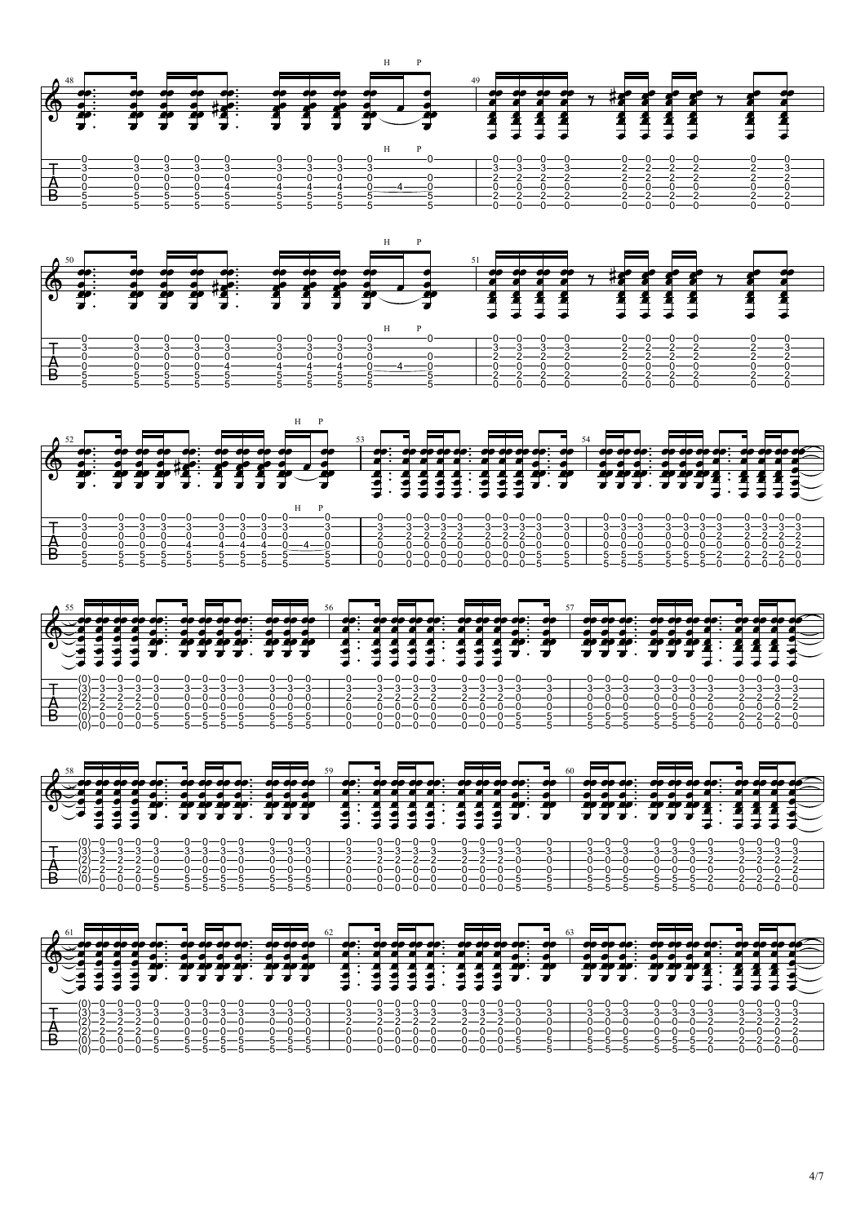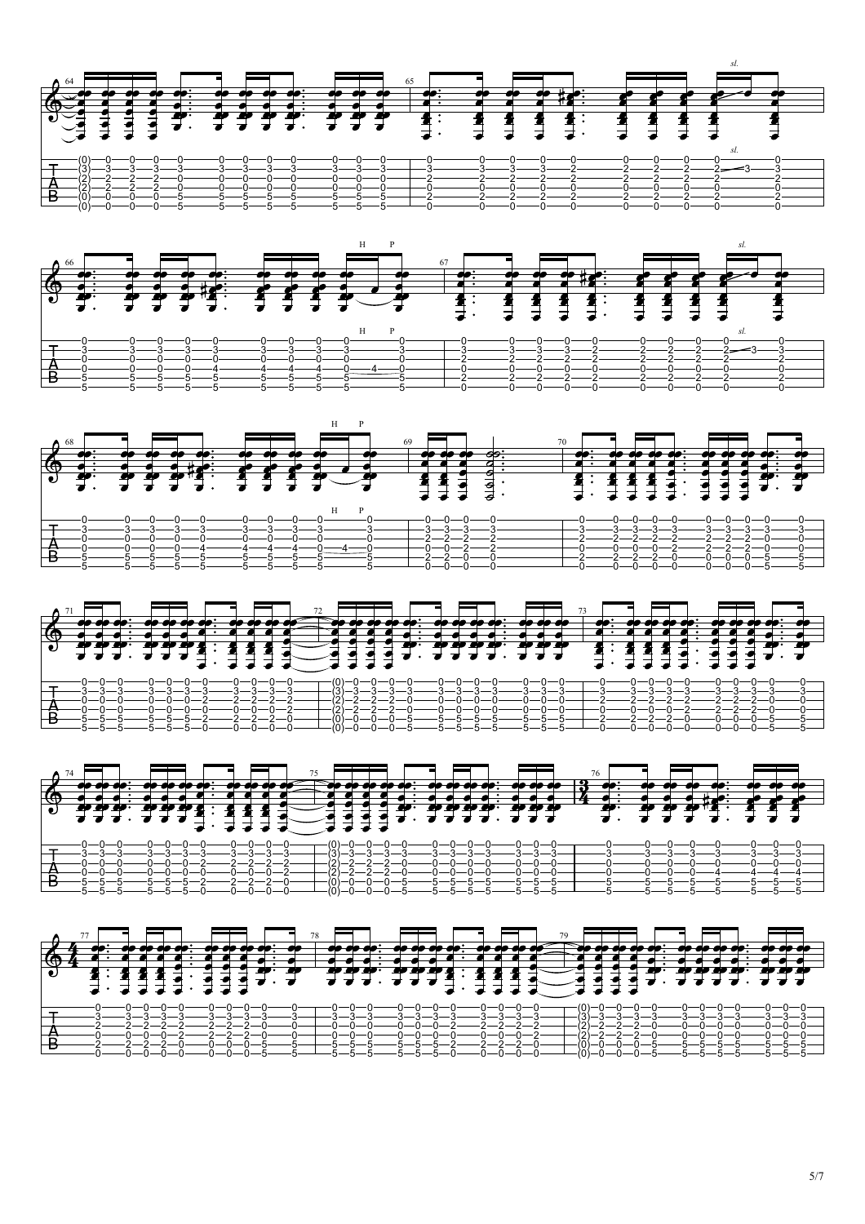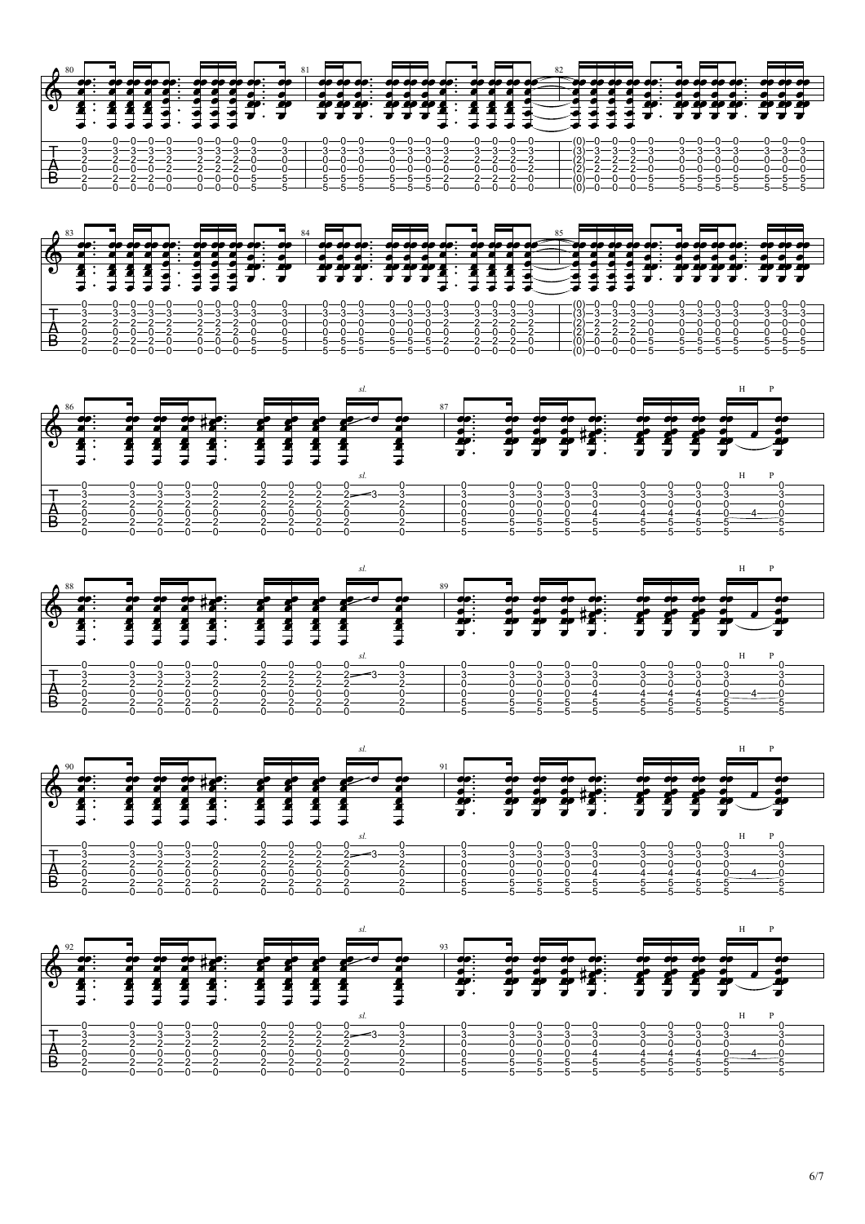